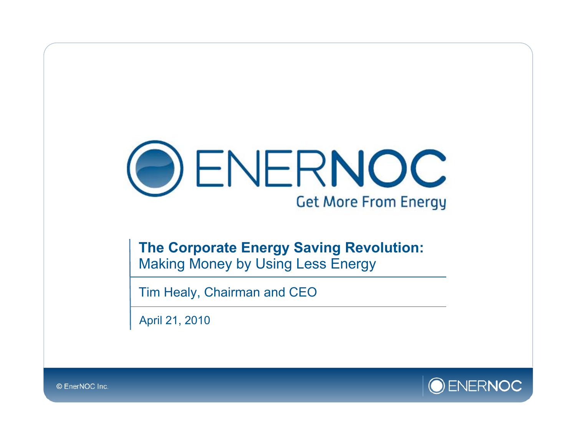

**The Corporate Energy Saving Revolution:**  Making Money by Using Less Energy

Tim Healy, Chairman and CEO

April 21, 2010

ENERNOC

© EnerNOC Inc.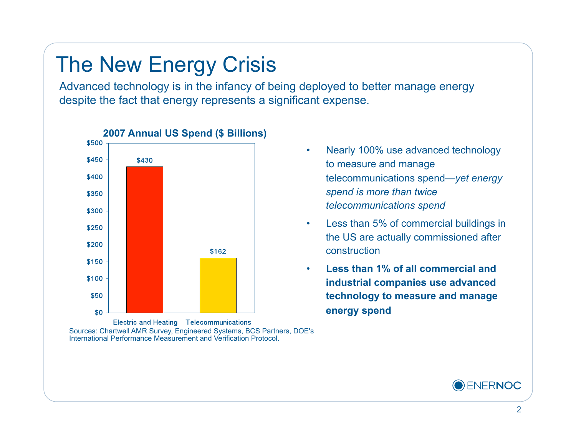# The New Energy Crisis

Advanced technology is in the infancy of being deployed to better manage energy despite the fact that energy represents a significant expense.



**2007 Annual US Spend (\$ Billions)** 

Electric and Heating Telecommunications Sources: Chartwell AMR Survey, Engineered Systems, BCS Partners, DOE's International Performance Measurement and Verification Protocol.

- Nearly 100% use advanced technology to measure and manage telecommunications spend—*yet energy spend is more than twice telecommunications spend*
- Less than 5% of commercial buildings in the US are actually commissioned after construction
- **Less than 1% of all commercial and industrial companies use advanced technology to measure and manage energy spend**

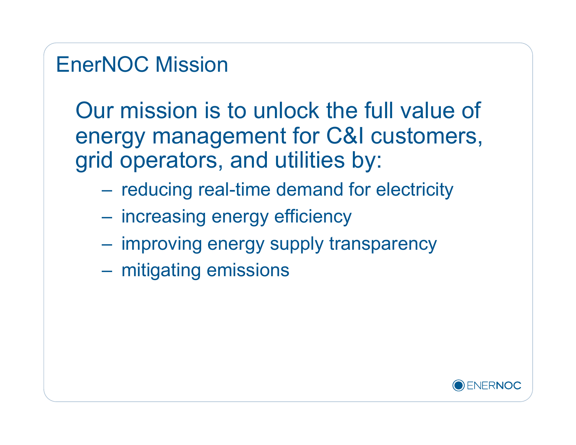## EnerNOC Mission

Our mission is to unlock the full value of energy management for C&I customers, grid operators, and utilities by:

- reducing real-time demand for electricity
- increasing energy efficiency
- improving energy supply transparency
- mitigating emissions

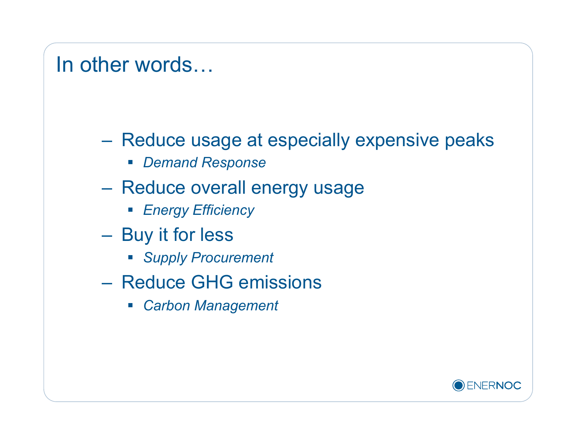#### In other words…

- Reduce usage at especially expensive peaks
	- *Demand Response*
- Reduce overall energy usage
	- *Energy Efficiency*
- Buy it for less
	- *Supply Procurement*
- Reduce GHG emissions
	- *Carbon Management*

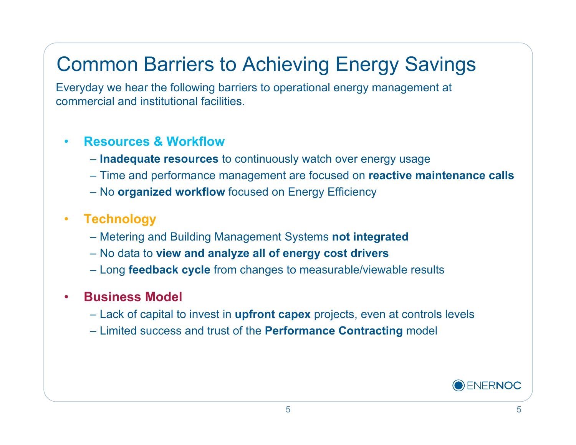# Common Barriers to Achieving Energy Savings

Everyday we hear the following barriers to operational energy management at commercial and institutional facilities.

#### • **Resources & Workflow**

- **Inadequate resources** to continuously watch over energy usage
- Time and performance management are focused on **reactive maintenance calls**
- No **organized workflow** focused on Energy Efficiency

#### • **Technology**

- Metering and Building Management Systems **not integrated**
- No data to **view and analyze all of energy cost drivers**
- Long **feedback cycle** from changes to measurable/viewable results

#### • **Business Model**

- Lack of capital to invest in **upfront capex** projects, even at controls levels
- Limited success and trust of the **Performance Contracting** model

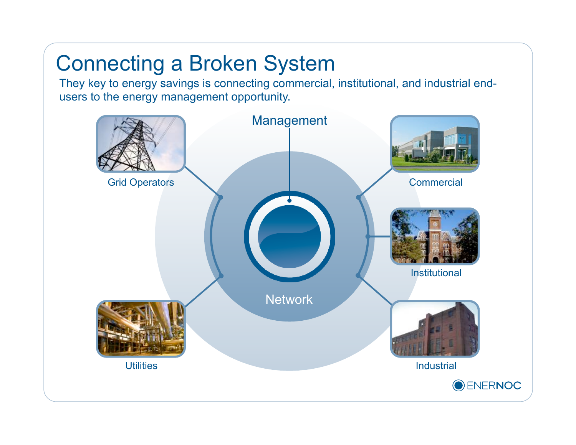# Connecting a Broken System

They key to energy savings is connecting commercial, institutional, and industrial endusers to the energy management opportunity.

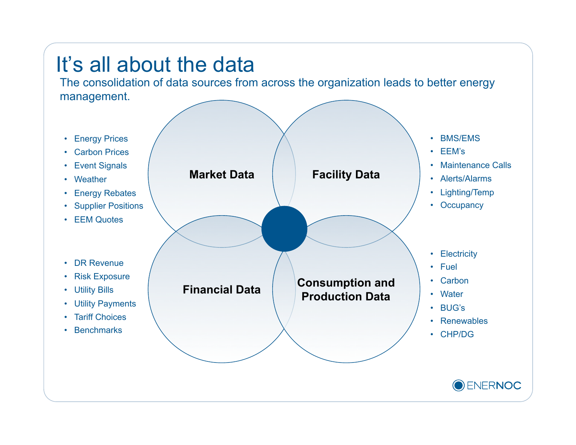# It's all about the data

The consolidation of data sources from across the organization leads to better energy management.

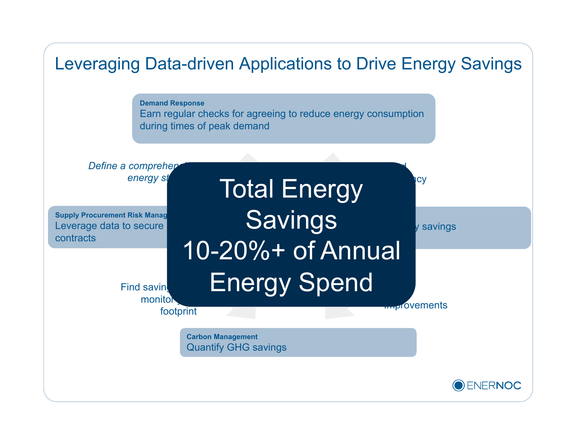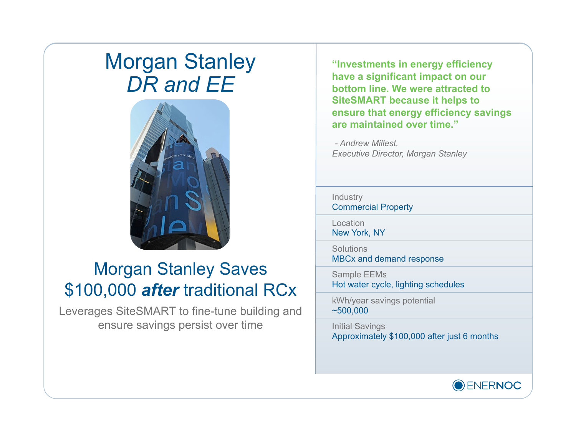### Morgan Stanley *DR and EE*



#### Morgan Stanley Saves \$100,000 *after* traditional RCx

Leverages SiteSMART to fine-tune building and ensure savings persist over time

**"Investments in energy efficiency have a significant impact on our bottom line. We were attracted to SiteSMART because it helps to ensure that energy efficiency savings are maintained over time."** 

*- Andrew Millest, Executive Director, Morgan Stanley* 

Industry Commercial Property

**Location** New York, NY

**Solutions** MBCx and demand response

Sample EEMs Hot water cycle, lighting schedules

kWh/year savings potential ~500,000

Initial Savings Approximately \$100,000 after just 6 months

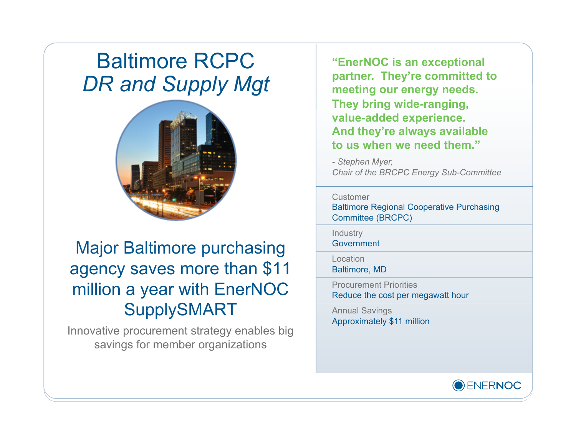## Baltimore RCPC *DR and Supply Mgt*



#### Major Baltimore purchasing agency saves more than \$11 million a year with EnerNOC SupplySMART

Innovative procurement strategy enables big savings for member organizations

**"EnerNOC is an exceptional partner. They're committed to meeting our energy needs. They bring wide-ranging, value-added experience. And they're always available to us when we need them."** 

*- Stephen Myer, Chair of the BRCPC Energy Sub-Committee* 

#### **Customer**

Baltimore Regional Cooperative Purchasing Committee (BRCPC)

Industry Government

Location

Baltimore, MD

Procurement Priorities Reduce the cost per megawatt hour

Annual Savings Approximately \$11 million

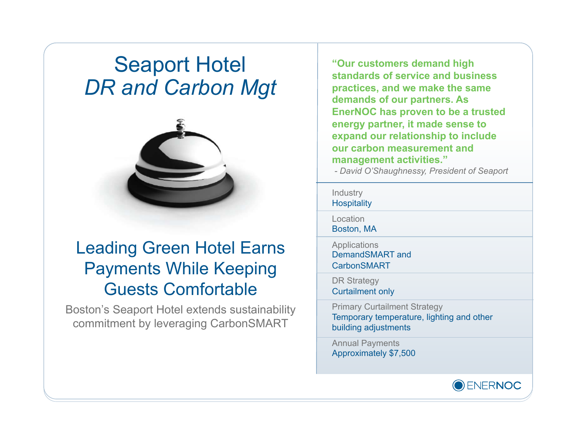### Seaport Hotel *DR and Carbon Mgt*



#### Leading Green Hotel Earns Payments While Keeping Guests Comfortable

Boston's Seaport Hotel extends sustainability commitment by leveraging CarbonSMART

**"Our customers demand high standards of service and business practices, and we make the same demands of our partners. As EnerNOC has proven to be a trusted energy partner, it made sense to expand our relationship to include our carbon measurement and management activities."**

 *- David O'Shaughnessy, President of Seaport*

#### **Industry Hospitality**

Location

Boston, MA

**Applications** DemandSMART and **CarbonSMART** 

DR Strategy Curtailment only

Primary Curtailment Strategy Temporary temperature, lighting and other building adjustments

Annual Payments Approximately \$7,500